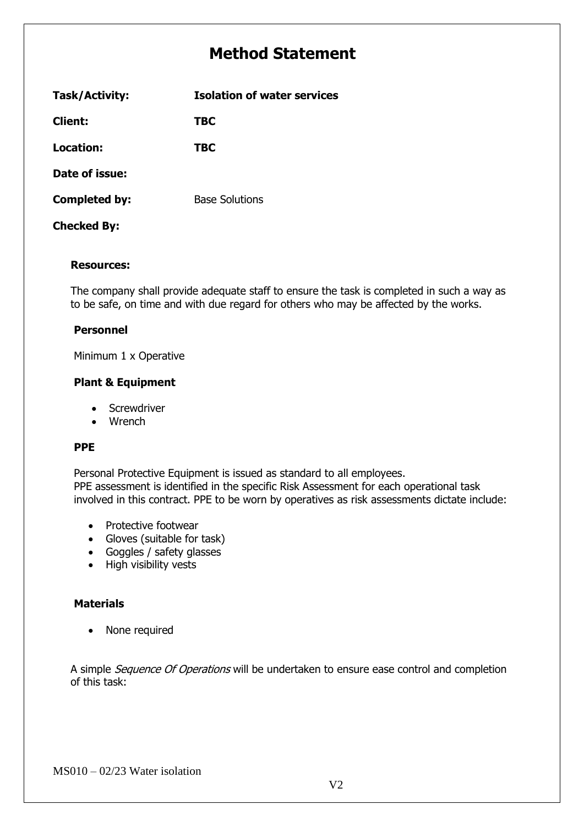# **Method Statement**

| Task/Activity:       | <b>Isolation of water services</b> |  |
|----------------------|------------------------------------|--|
| <b>Client:</b>       | TBC                                |  |
| Location:            | TBC                                |  |
| Date of issue:       |                                    |  |
| <b>Completed by:</b> | <b>Base Solutions</b>              |  |
| <b>Checked By:</b>   |                                    |  |

### **Resources:**

The company shall provide adequate staff to ensure the task is completed in such a way as to be safe, on time and with due regard for others who may be affected by the works.

#### **Personnel**

Minimum 1 x Operative

### **Plant & Equipment**

- **Screwdriver**
- Wrench

### **PPE**

Personal Protective Equipment is issued as standard to all employees. PPE assessment is identified in the specific Risk Assessment for each operational task involved in this contract. PPE to be worn by operatives as risk assessments dictate include:

- Protective footwear
- Gloves (suitable for task)
- Goggles / safety glasses
- High visibility vests

### **Materials**

• None required

A simple Sequence Of Operations will be undertaken to ensure ease control and completion of this task: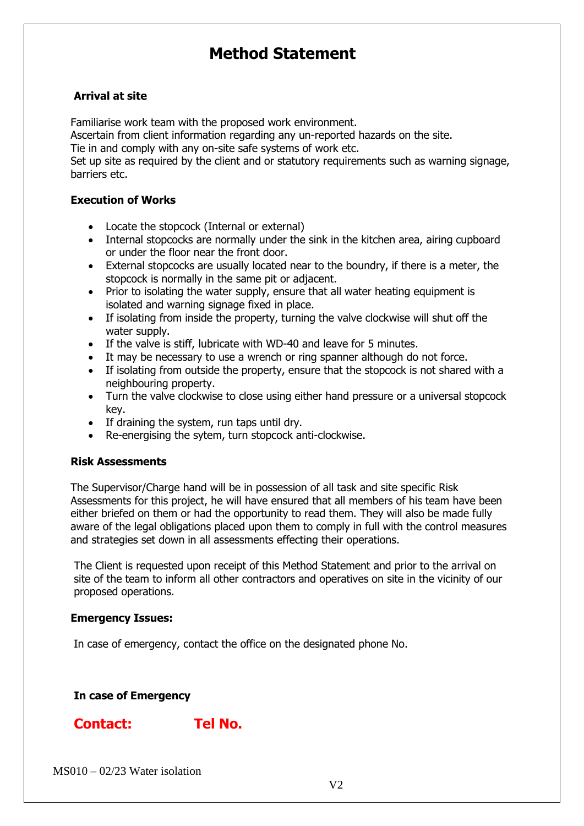# **Method Statement**

### **Arrival at site**

Familiarise work team with the proposed work environment.

Ascertain from client information regarding any un-reported hazards on the site.

Tie in and comply with any on-site safe systems of work etc.

Set up site as required by the client and or statutory requirements such as warning signage, barriers etc.

## **Execution of Works**

- Locate the stopcock (Internal or external)
- Internal stopcocks are normally under the sink in the kitchen area, airing cupboard or under the floor near the front door.
- External stopcocks are usually located near to the boundry, if there is a meter, the stopcock is normally in the same pit or adjacent.
- Prior to isolating the water supply, ensure that all water heating equipment is isolated and warning signage fixed in place.
- If isolating from inside the property, turning the valve clockwise will shut off the water supply.
- If the valve is stiff, lubricate with WD-40 and leave for 5 minutes.
- It may be necessary to use a wrench or ring spanner although do not force.
- If isolating from outside the property, ensure that the stopcock is not shared with a neighbouring property.
- Turn the valve clockwise to close using either hand pressure or a universal stopcock key.
- If draining the system, run taps until dry.
- Re-energising the sytem, turn stopcock anti-clockwise.

### **Risk Assessments**

The Supervisor/Charge hand will be in possession of all task and site specific Risk Assessments for this project, he will have ensured that all members of his team have been either briefed on them or had the opportunity to read them. They will also be made fully aware of the legal obligations placed upon them to comply in full with the control measures and strategies set down in all assessments effecting their operations.

The Client is requested upon receipt of this Method Statement and prior to the arrival on site of the team to inform all other contractors and operatives on site in the vicinity of our proposed operations.

# **Emergency Issues:**

In case of emergency, contact the office on the designated phone No.

# **In case of Emergency**

# **Contact: Tel No.**

MS010 – 02/23 Water isolation